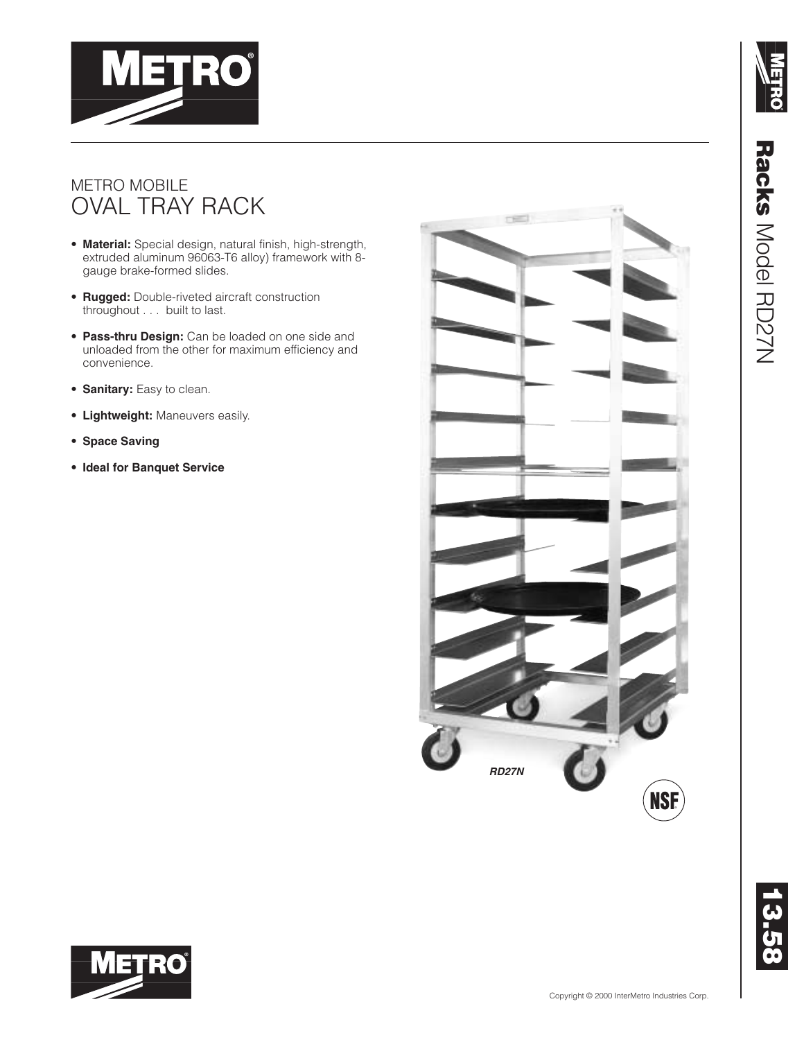



#### METRO MOBILE OVAL TRAY RACK

**METRO** 

- **Material:** Special design, natural finish, high-strength, extruded aluminum 96063-T6 alloy) framework with 8 gauge brake-formed slides.
- **Rugged:** Double-riveted aircraft construction throughout . . . built to last.
- **Pass-thru Design:** Can be loaded on one side and unloaded from the other for maximum efficiency and convenience.
- **Sanitary:** Easy to clean.
- **Lightweight:** Maneuvers easily.
- **Space Saving**
- **Ideal for Banquet Service**